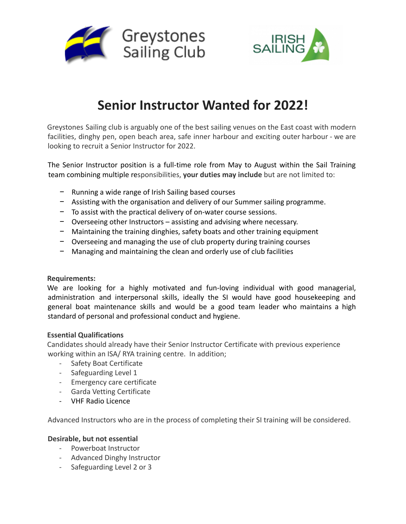



# **Senior Instructor Wanted for 2022!**

Greystones Sailing club is arguably one of the best sailing venues on the East coast with modern facilities, dinghy pen, open beach area, safe inner harbour and exciting outer harbour - we are looking to recruit a Senior Instructor for 2022.

The Senior Instructor position is a full-time role from May to August within the Sail Training team combining multiple responsibilities, **your duties may include** but are not limited to:

- − Running a wide range of Irish Sailing based courses
- − Assisting with the organisation and delivery of our Summer sailing programme.
- − To assist with the practical delivery of on-water course sessions.
- − Overseeing other Instructors assisting and advising where necessary.
- − Maintaining the training dinghies, safety boats and other training equipment
- − Overseeing and managing the use of club property during training courses
- − Managing and maintaining the clean and orderly use of club facilities

#### **Requirements:**

We are looking for a highly motivated and fun-loving individual with good managerial, administration and interpersonal skills, ideally the SI would have good housekeeping and general boat maintenance skills and would be a good team leader who maintains a high standard of personal and professional conduct and hygiene.

## **Essential Qualifications**

Candidates should already have their Senior Instructor Certificate with previous experience working within an ISA/ RYA training centre. In addition;

- Safety Boat Certificate
- Safeguarding Level 1
- Emergency care certificate
- Garda Vetting Certificate
- VHF Radio Licence

Advanced Instructors who are in the process of completing their SI training will be considered.

## **Desirable, but not essential**

- Powerboat Instructor
- Advanced Dinghy Instructor
- Safeguarding Level 2 or 3